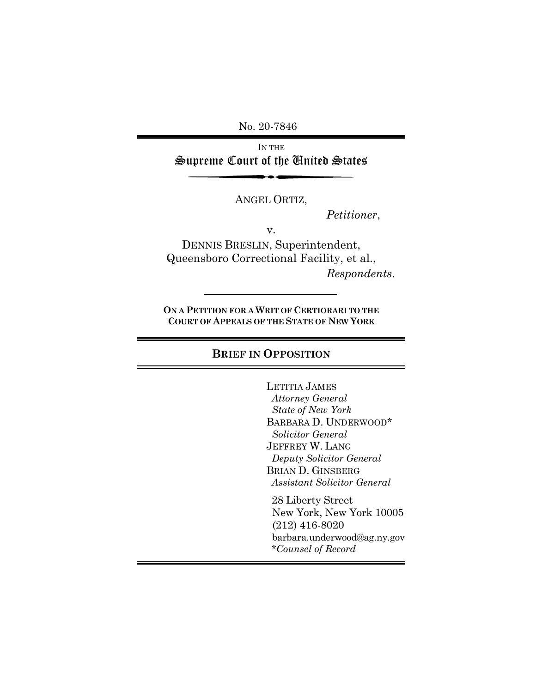No. 20-7846

IN THE Supreme Court of the United States

ANGEL ORTIZ,

*Petitioner*,

v.

DENNIS BRESLIN, Superintendent, Queensboro Correctional Facility, et al., *Respondents*.

**ON A PETITION FOR A WRIT OF CERTIORARI TO THE COURT OF APPEALS OF THE STATE OF NEW YORK** 

#### **BRIEF IN OPPOSITION**

LETITIA JAMES  *Attorney General State of New York* BARBARA D. UNDERWOOD\*  *Solicitor General* JEFFREY W. LANG  *Deputy Solicitor General* BRIAN D. GINSBERG  *Assistant Solicitor General*

 28 Liberty Street New York, New York 10005 (212) 416-8020 barbara.underwood@ag.ny.gov \**Counsel of Record*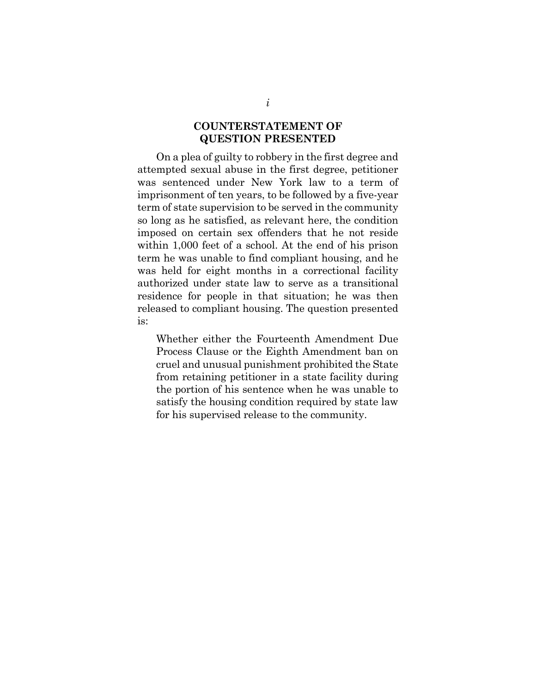### **COUNTERSTATEMENT OF QUESTION PRESENTED**

On a plea of guilty to robbery in the first degree and attempted sexual abuse in the first degree, petitioner was sentenced under New York law to a term of imprisonment of ten years, to be followed by a five-year term of state supervision to be served in the community so long as he satisfied, as relevant here, the condition imposed on certain sex offenders that he not reside within 1,000 feet of a school. At the end of his prison term he was unable to find compliant housing, and he was held for eight months in a correctional facility authorized under state law to serve as a transitional residence for people in that situation; he was then released to compliant housing. The question presented is:

Whether either the Fourteenth Amendment Due Process Clause or the Eighth Amendment ban on cruel and unusual punishment prohibited the State from retaining petitioner in a state facility during the portion of his sentence when he was unable to satisfy the housing condition required by state law for his supervised release to the community.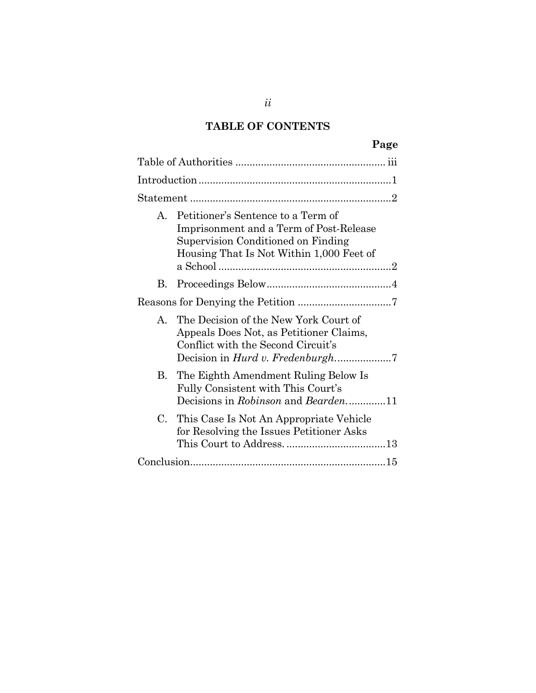# **TABLE OF CONTENTS**

|              |                                                                                                                                                                 | Page |
|--------------|-----------------------------------------------------------------------------------------------------------------------------------------------------------------|------|
|              |                                                                                                                                                                 |      |
|              |                                                                                                                                                                 |      |
|              |                                                                                                                                                                 |      |
| A.           | Petitioner's Sentence to a Term of<br>Imprisonment and a Term of Post-Release<br>Supervision Conditioned on Finding<br>Housing That Is Not Within 1,000 Feet of |      |
| B.           |                                                                                                                                                                 |      |
|              |                                                                                                                                                                 |      |
| $\mathbf{A}$ | The Decision of the New York Court of<br>Appeals Does Not, as Petitioner Claims,<br>Conflict with the Second Circuit's                                          |      |
| B.           | The Eighth Amendment Ruling Below Is<br>Fully Consistent with This Court's                                                                                      |      |
| $C_{\cdot}$  | This Case Is Not An Appropriate Vehicle<br>for Resolving the Issues Petitioner Asks                                                                             |      |
|              |                                                                                                                                                                 |      |
|              |                                                                                                                                                                 |      |

*ii*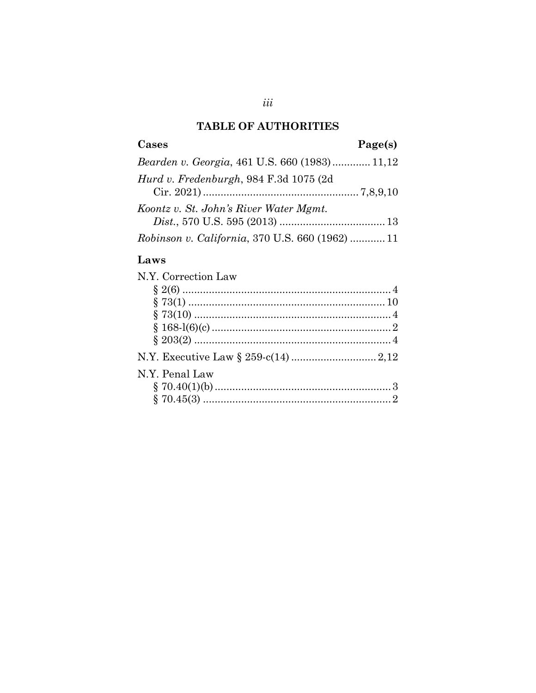# **TABLE OF AUTHORITIES**

| Cases                                                   | Page(s) |
|---------------------------------------------------------|---------|
| Bearden v. Georgia, 461 U.S. 660 (1983) 11,12           |         |
| Hurd v. Fredenburgh, 984 F.3d 1075 (2d                  |         |
| Koontz v. St. John's River Water Mgmt.                  |         |
|                                                         |         |
| <i>Robinson v. California</i> , 370 U.S. 660 (1962)  11 |         |

# Laws

| N.Y. Correction Law |  |
|---------------------|--|
|                     |  |
|                     |  |
|                     |  |
|                     |  |
|                     |  |
|                     |  |
| N.Y. Penal Law      |  |
|                     |  |
|                     |  |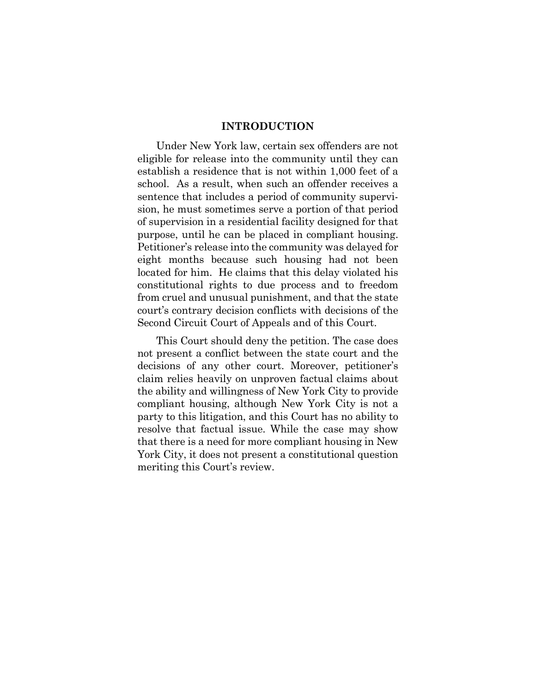#### **INTRODUCTION**

<span id="page-4-0"></span>Under New York law, certain sex offenders are not eligible for release into the community until they can establish a residence that is not within 1,000 feet of a school. As a result, when such an offender receives a sentence that includes a period of community supervision, he must sometimes serve a portion of that period of supervision in a residential facility designed for that purpose, until he can be placed in compliant housing. Petitioner's release into the community was delayed for eight months because such housing had not been located for him. He claims that this delay violated his constitutional rights to due process and to freedom from cruel and unusual punishment, and that the state court's contrary decision conflicts with decisions of the Second Circuit Court of Appeals and of this Court.

This Court should deny the petition. The case does not present a conflict between the state court and the decisions of any other court. Moreover, petitioner's claim relies heavily on unproven factual claims about the ability and willingness of New York City to provide compliant housing, although New York City is not a party to this litigation, and this Court has no ability to resolve that factual issue. While the case may show that there is a need for more compliant housing in New York City, it does not present a constitutional question meriting this Court's review.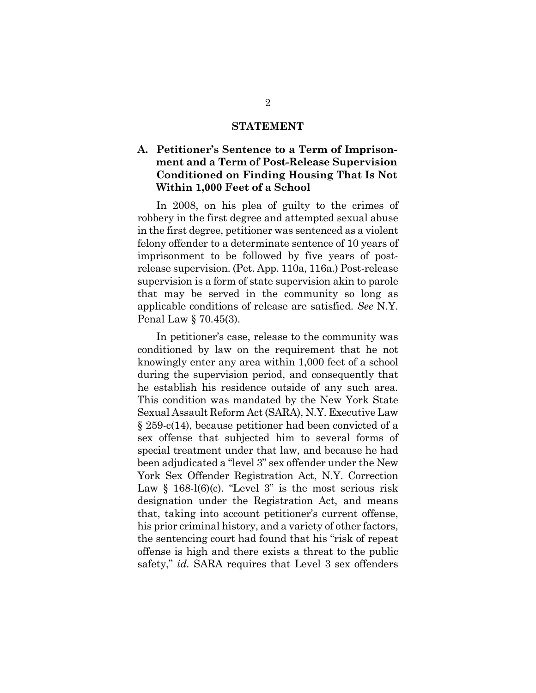#### **STATEMENT**

## <span id="page-5-1"></span><span id="page-5-0"></span>**A. Petitioner's Sentence to a Term of Imprisonment and a Term of Post-Release Supervision Conditioned on Finding Housing That Is Not Within 1,000 Feet of a School**

In 2008, on his plea of guilty to the crimes of robbery in the first degree and attempted sexual abuse in the first degree, petitioner was sentenced as a violent felony offender to a determinate sentence of 10 years of imprisonment to be followed by five years of postrelease supervision. (Pet. App. 110a, 116a.) Post-release supervision is a form of state supervision akin to parole that may be served in the community so long as applicable conditions of release are satisfied. *See* N.Y. Penal Law § 70.45(3).

In petitioner's case, release to the community was conditioned by law on the requirement that he not knowingly enter any area within 1,000 feet of a school during the supervision period, and consequently that he establish his residence outside of any such area*.* This condition was mandated by the New York State Sexual Assault Reform Act (SARA), N.Y. Executive Law § 259-c(14), because petitioner had been convicted of a sex offense that subjected him to several forms of special treatment under that law, and because he had been adjudicated a "level 3" sex offender under the New York Sex Offender Registration Act, N.Y. Correction Law  $\S$  168-l(6)(c). "Level 3" is the most serious risk designation under the Registration Act, and means that, taking into account petitioner's current offense, his prior criminal history, and a variety of other factors, the sentencing court had found that his "risk of repeat offense is high and there exists a threat to the public safety," *id.* SARA requires that Level 3 sex offenders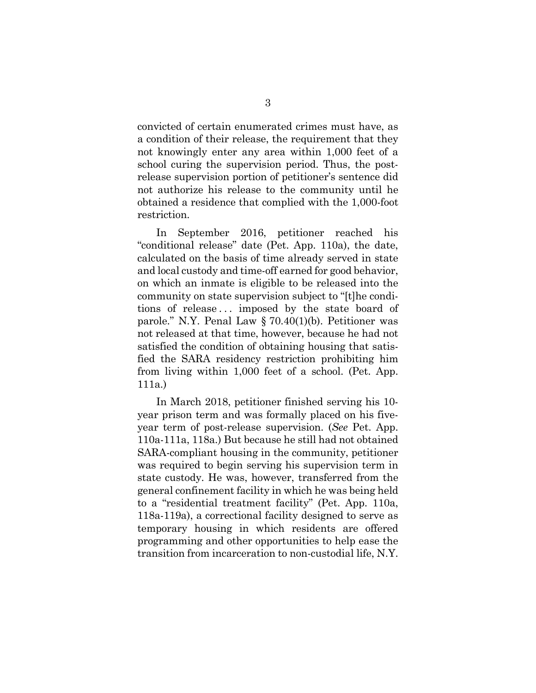convicted of certain enumerated crimes must have, as a condition of their release, the requirement that they not knowingly enter any area within 1,000 feet of a school curing the supervision period. Thus, the postrelease supervision portion of petitioner's sentence did not authorize his release to the community until he obtained a residence that complied with the 1,000-foot restriction.

In September 2016, petitioner reached his "conditional release" date (Pet. App. 110a), the date, calculated on the basis of time already served in state and local custody and time-off earned for good behavior, on which an inmate is eligible to be released into the community on state supervision subject to "[t]he conditions of release.. . imposed by the state board of parole." N.Y. Penal Law § 70.40(1)(b). Petitioner was not released at that time, however, because he had not satisfied the condition of obtaining housing that satisfied the SARA residency restriction prohibiting him from living within 1,000 feet of a school. (Pet. App. 111a.)

In March 2018, petitioner finished serving his 10 year prison term and was formally placed on his fiveyear term of post-release supervision. (*See* Pet. App. 110a-111a, 118a.) But because he still had not obtained SARA-compliant housing in the community, petitioner was required to begin serving his supervision term in state custody. He was, however, transferred from the general confinement facility in which he was being held to a "residential treatment facility" (Pet. App. 110a, 118a-119a), a correctional facility designed to serve as temporary housing in which residents are offered programming and other opportunities to help ease the transition from incarceration to non-custodial life, N.Y.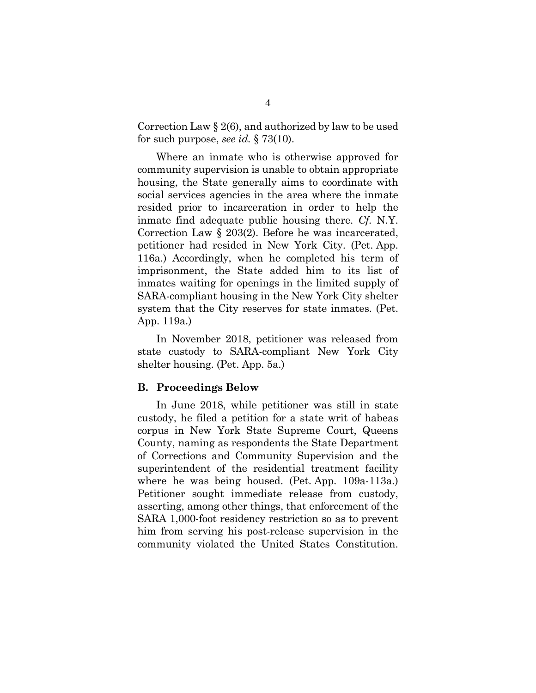Correction Law § 2(6), and authorized by law to be used for such purpose, *see id.* § 73(10).

Where an inmate who is otherwise approved for community supervision is unable to obtain appropriate housing, the State generally aims to coordinate with social services agencies in the area where the inmate resided prior to incarceration in order to help the inmate find adequate public housing there. *Cf.* N.Y. Correction Law § 203(2). Before he was incarcerated, petitioner had resided in New York City. (Pet. App. 116a.) Accordingly, when he completed his term of imprisonment, the State added him to its list of inmates waiting for openings in the limited supply of SARA-compliant housing in the New York City shelter system that the City reserves for state inmates. (Pet. App. 119a.)

In November 2018, petitioner was released from state custody to SARA-compliant New York City shelter housing. (Pet. App. 5a.)

#### <span id="page-7-0"></span>**B. Proceedings Below**

In June 2018, while petitioner was still in state custody, he filed a petition for a state writ of habeas corpus in New York State Supreme Court, Queens County, naming as respondents the State Department of Corrections and Community Supervision and the superintendent of the residential treatment facility where he was being housed. (Pet. App. 109a-113a.) Petitioner sought immediate release from custody, asserting, among other things, that enforcement of the SARA 1,000-foot residency restriction so as to prevent him from serving his post-release supervision in the community violated the United States Constitution.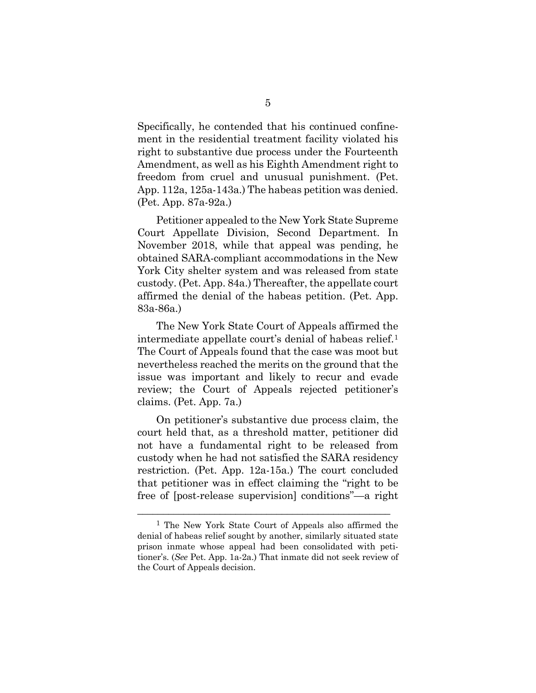Specifically, he contended that his continued confinement in the residential treatment facility violated his right to substantive due process under the Fourteenth Amendment, as well as his Eighth Amendment right to freedom from cruel and unusual punishment. (Pet. App. 112a, 125a-143a.) The habeas petition was denied. (Pet. App. 87a-92a.)

Petitioner appealed to the New York State Supreme Court Appellate Division, Second Department. In November 2018, while that appeal was pending, he obtained SARA-compliant accommodations in the New York City shelter system and was released from state custody. (Pet. App. 84a.) Thereafter, the appellate court affirmed the denial of the habeas petition. (Pet. App. 83a-86a.)

The New York State Court of Appeals affirmed the intermediate appellate court's denial of habeas relief.[1](#page-8-0) The Court of Appeals found that the case was moot but nevertheless reached the merits on the ground that the issue was important and likely to recur and evade review; the Court of Appeals rejected petitioner's claims. (Pet. App. 7a.)

On petitioner's substantive due process claim, the court held that, as a threshold matter, petitioner did not have a fundamental right to be released from custody when he had not satisfied the SARA residency restriction. (Pet. App. 12a-15a.) The court concluded that petitioner was in effect claiming the "right to be free of [post-release supervision] conditions"—a right

\_\_\_\_\_\_\_\_\_\_\_\_\_\_\_\_\_\_\_\_\_\_\_\_\_\_\_\_\_\_\_\_\_\_\_\_\_\_\_\_\_\_\_\_\_\_\_\_\_

<span id="page-8-0"></span><sup>1</sup> The New York State Court of Appeals also affirmed the denial of habeas relief sought by another, similarly situated state prison inmate whose appeal had been consolidated with petitioner's. (*See* Pet. App. 1a-2a.) That inmate did not seek review of the Court of Appeals decision.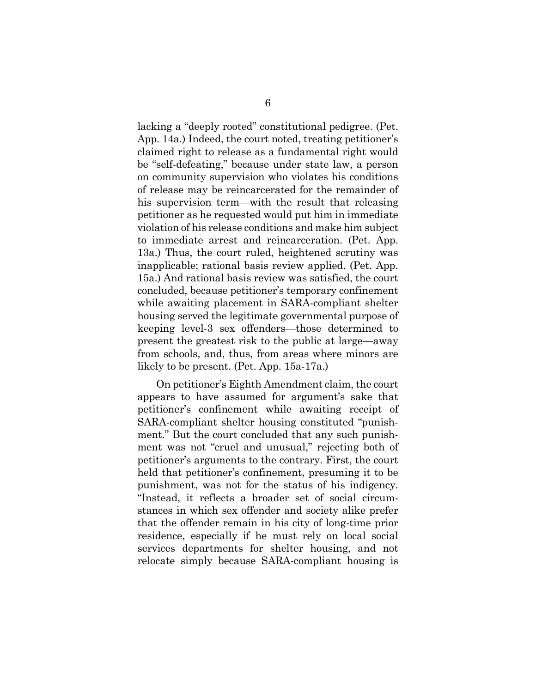lacking a "deeply rooted" constitutional pedigree. (Pet. App. 14a.) Indeed, the court noted, treating petitioner's claimed right to release as a fundamental right would be "self-defeating," because under state law, a person on community supervision who violates his conditions of release may be reincarcerated for the remainder of his supervision term—with the result that releasing petitioner as he requested would put him in immediate violation of his release conditions and make him subject to immediate arrest and reincarceration. (Pet. App. 13a.) Thus, the court ruled, heightened scrutiny was inapplicable; rational basis review applied. (Pet. App. 15a.) And rational basis review was satisfied, the court concluded, because petitioner's temporary confinement while awaiting placement in SARA-compliant shelter housing served the legitimate governmental purpose of keeping level-3 sex offenders—those determined to present the greatest risk to the public at large—away from schools, and, thus, from areas where minors are likely to be present. (Pet. App. 15a-17a.)

On petitioner's Eighth Amendment claim, the court appears to have assumed for argument's sake that petitioner's confinement while awaiting receipt of SARA-compliant shelter housing constituted "punishment." But the court concluded that any such punishment was not "cruel and unusual," rejecting both of petitioner's arguments to the contrary. First, the court held that petitioner's confinement, presuming it to be punishment, was not for the status of his indigency. "Instead, it reflects a broader set of social circumstances in which sex offender and society alike prefer that the offender remain in his city of long-time prior residence, especially if he must rely on local social services departments for shelter housing, and not relocate simply because SARA-compliant housing is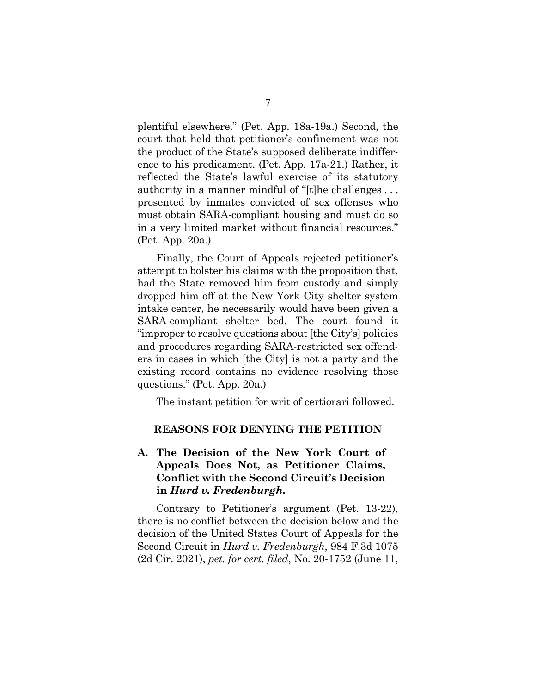plentiful elsewhere." (Pet. App. 18a-19a.) Second, the court that held that petitioner's confinement was not the product of the State's supposed deliberate indifference to his predicament. (Pet. App. 17a-21.) Rather, it reflected the State's lawful exercise of its statutory authority in a manner mindful of "[t]he challenges.. . presented by inmates convicted of sex offenses who must obtain SARA-compliant housing and must do so in a very limited market without financial resources." (Pet. App. 20a.)

Finally, the Court of Appeals rejected petitioner's attempt to bolster his claims with the proposition that, had the State removed him from custody and simply dropped him off at the New York City shelter system intake center, he necessarily would have been given a SARA-compliant shelter bed. The court found it "improper to resolve questions about [the City's] policies and procedures regarding SARA-restricted sex offenders in cases in which [the City] is not a party and the existing record contains no evidence resolving those questions." (Pet. App. 20a.)

<span id="page-10-0"></span>The instant petition for writ of certiorari followed.

#### **REASONS FOR DENYING THE PETITION**

## <span id="page-10-1"></span>**A. The Decision of the New York Court of Appeals Does Not, as Petitioner Claims, Conflict with the Second Circuit's Decision in** *Hurd v. Fredenburgh***.**

Contrary to Petitioner's argument (Pet. 13-22), there is no conflict between the decision below and the decision of the United States Court of Appeals for the Second Circuit in *Hurd v. Fredenburgh*, 984 F.3d 1075 (2d Cir. 2021), *pet. for cert. filed*, No. 20-1752 (June 11,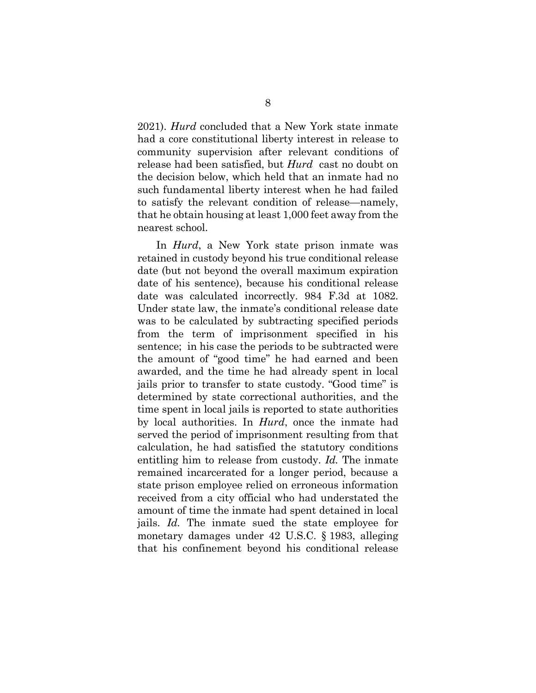2021). *Hurd* concluded that a New York state inmate had a core constitutional liberty interest in release to community supervision after relevant conditions of release had been satisfied, but *Hurd* cast no doubt on the decision below, which held that an inmate had no such fundamental liberty interest when he had failed to satisfy the relevant condition of release—namely, that he obtain housing at least 1,000 feet away from the nearest school.

In *Hurd*, a New York state prison inmate was retained in custody beyond his true conditional release date (but not beyond the overall maximum expiration date of his sentence), because his conditional release date was calculated incorrectly. 984 F.3d at 1082. Under state law, the inmate's conditional release date was to be calculated by subtracting specified periods from the term of imprisonment specified in his sentence; in his case the periods to be subtracted were the amount of "good time" he had earned and been awarded, and the time he had already spent in local jails prior to transfer to state custody. "Good time" is determined by state correctional authorities, and the time spent in local jails is reported to state authorities by local authorities. In *Hurd*, once the inmate had served the period of imprisonment resulting from that calculation, he had satisfied the statutory conditions entitling him to release from custody. *Id.* The inmate remained incarcerated for a longer period, because a state prison employee relied on erroneous information received from a city official who had understated the amount of time the inmate had spent detained in local jails. *Id.* The inmate sued the state employee for monetary damages under 42 U.S.C. § 1983, alleging that his confinement beyond his conditional release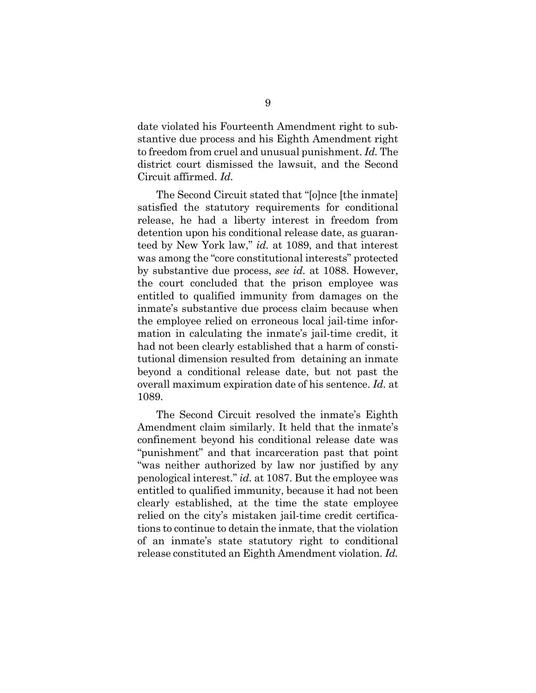date violated his Fourteenth Amendment right to substantive due process and his Eighth Amendment right to freedom from cruel and unusual punishment. *Id.* The district court dismissed the lawsuit, and the Second Circuit affirmed. *Id.*

The Second Circuit stated that "[o]nce [the inmate] satisfied the statutory requirements for conditional release, he had a liberty interest in freedom from detention upon his conditional release date, as guaranteed by New York law," *id.* at 1089, and that interest was among the "core constitutional interests" protected by substantive due process, *see id.* at 1088. However, the court concluded that the prison employee was entitled to qualified immunity from damages on the inmate's substantive due process claim because when the employee relied on erroneous local jail-time information in calculating the inmate's jail-time credit, it had not been clearly established that a harm of constitutional dimension resulted from detaining an inmate beyond a conditional release date, but not past the overall maximum expiration date of his sentence. *Id.* at 1089.

The Second Circuit resolved the inmate's Eighth Amendment claim similarly. It held that the inmate's confinement beyond his conditional release date was "punishment" and that incarceration past that point "was neither authorized by law nor justified by any penological interest." *id.* at 1087. But the employee was entitled to qualified immunity, because it had not been clearly established, at the time the state employee relied on the city's mistaken jail-time credit certifications to continue to detain the inmate, that the violation of an inmate's state statutory right to conditional release constituted an Eighth Amendment violation. *Id.*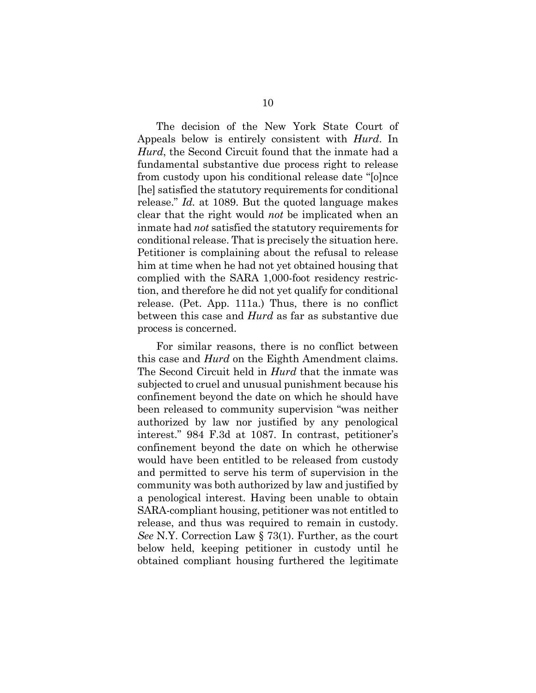The decision of the New York State Court of Appeals below is entirely consistent with *Hurd*. In *Hurd*, the Second Circuit found that the inmate had a fundamental substantive due process right to release from custody upon his conditional release date "[o]nce [he] satisfied the statutory requirements for conditional release." *Id.* at 1089. But the quoted language makes clear that the right would *not* be implicated when an inmate had *not* satisfied the statutory requirements for conditional release. That is precisely the situation here. Petitioner is complaining about the refusal to release him at time when he had not yet obtained housing that complied with the SARA 1,000-foot residency restriction, and therefore he did not yet qualify for conditional release. (Pet. App. 111a.) Thus, there is no conflict between this case and *Hurd* as far as substantive due process is concerned.

For similar reasons, there is no conflict between this case and *Hurd* on the Eighth Amendment claims. The Second Circuit held in *Hurd* that the inmate was subjected to cruel and unusual punishment because his confinement beyond the date on which he should have been released to community supervision "was neither authorized by law nor justified by any penological interest." 984 F.3d at 1087. In contrast, petitioner's confinement beyond the date on which he otherwise would have been entitled to be released from custody and permitted to serve his term of supervision in the community was both authorized by law and justified by a penological interest. Having been unable to obtain SARA-compliant housing, petitioner was not entitled to release, and thus was required to remain in custody. *See* N.Y. Correction Law § 73(1). Further, as the court below held, keeping petitioner in custody until he obtained compliant housing furthered the legitimate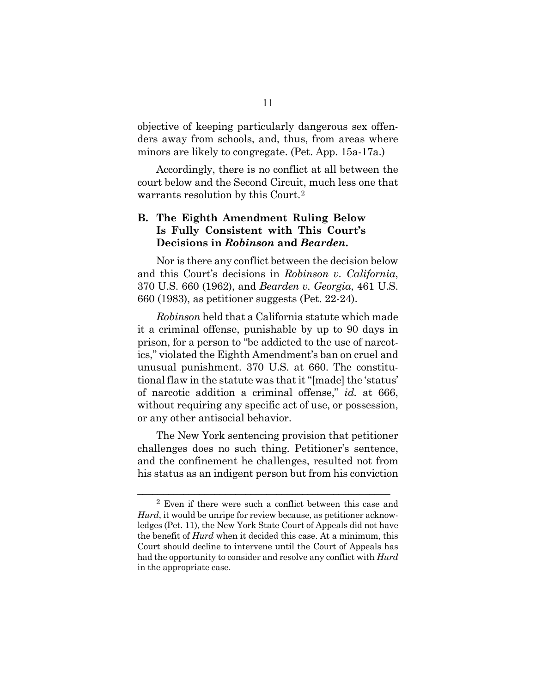objective of keeping particularly dangerous sex offenders away from schools, and, thus, from areas where minors are likely to congregate. (Pet. App. 15a-17a.)

Accordingly, there is no conflict at all between the court below and the Second Circuit, much less one that warrants resolution by this Court.[2](#page-14-1)

### <span id="page-14-0"></span>**B. The Eighth Amendment Ruling Below Is Fully Consistent with This Court's Decisions in** *Robinson* **and** *Bearden***.**

Nor is there any conflict between the decision below and this Court's decisions in *Robinson v. California*, 370 U.S. 660 (1962), and *Bearden v. Georgia*, 461 U.S. 660 (1983), as petitioner suggests (Pet. 22-24).

*Robinson* held that a California statute which made it a criminal offense, punishable by up to 90 days in prison, for a person to "be addicted to the use of narcotics," violated the Eighth Amendment's ban on cruel and unusual punishment. 370 U.S. at 660. The constitutional flaw in the statute was that it "[made] the 'status' of narcotic addition a criminal offense," *id.* at 666, without requiring any specific act of use, or possession, or any other antisocial behavior.

The New York sentencing provision that petitioner challenges does no such thing. Petitioner's sentence, and the confinement he challenges, resulted not from his status as an indigent person but from his conviction

\_\_\_\_\_\_\_\_\_\_\_\_\_\_\_\_\_\_\_\_\_\_\_\_\_\_\_\_\_\_\_\_\_\_\_\_\_\_\_\_\_\_\_\_\_\_\_\_\_

<span id="page-14-1"></span><sup>2</sup> Even if there were such a conflict between this case and *Hurd*, it would be unripe for review because, as petitioner acknowledges (Pet. 11), the New York State Court of Appeals did not have the benefit of *Hurd* when it decided this case. At a minimum, this Court should decline to intervene until the Court of Appeals has had the opportunity to consider and resolve any conflict with *Hurd* in the appropriate case.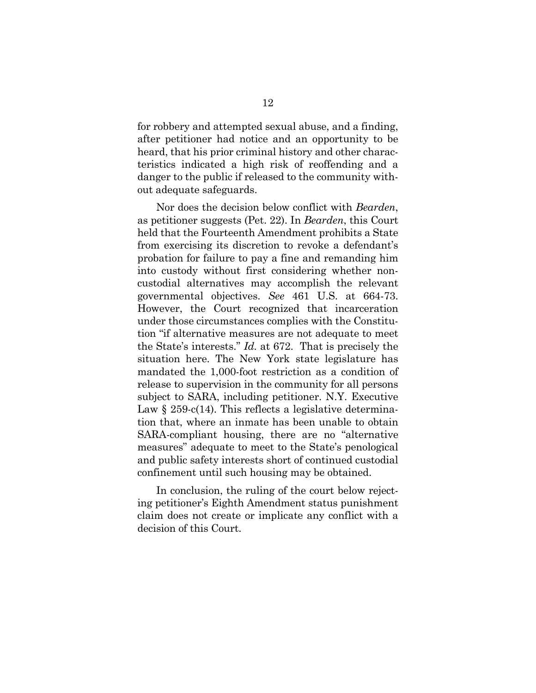for robbery and attempted sexual abuse, and a finding, after petitioner had notice and an opportunity to be heard, that his prior criminal history and other characteristics indicated a high risk of reoffending and a danger to the public if released to the community without adequate safeguards.

Nor does the decision below conflict with *Bearden*, as petitioner suggests (Pet. 22). In *Bearden*, this Court held that the Fourteenth Amendment prohibits a State from exercising its discretion to revoke a defendant's probation for failure to pay a fine and remanding him into custody without first considering whether noncustodial alternatives may accomplish the relevant governmental objectives. *See* 461 U.S. at 664-73. However, the Court recognized that incarceration under those circumstances complies with the Constitution "if alternative measures are not adequate to meet the State's interests." *Id.* at 672. That is precisely the situation here. The New York state legislature has mandated the 1,000-foot restriction as a condition of release to supervision in the community for all persons subject to SARA, including petitioner. N.Y. Executive Law  $\S 259-c(14)$ . This reflects a legislative determination that, where an inmate has been unable to obtain SARA-compliant housing, there are no "alternative measures" adequate to meet to the State's penological and public safety interests short of continued custodial confinement until such housing may be obtained.

In conclusion, the ruling of the court below rejecting petitioner's Eighth Amendment status punishment claim does not create or implicate any conflict with a decision of this Court.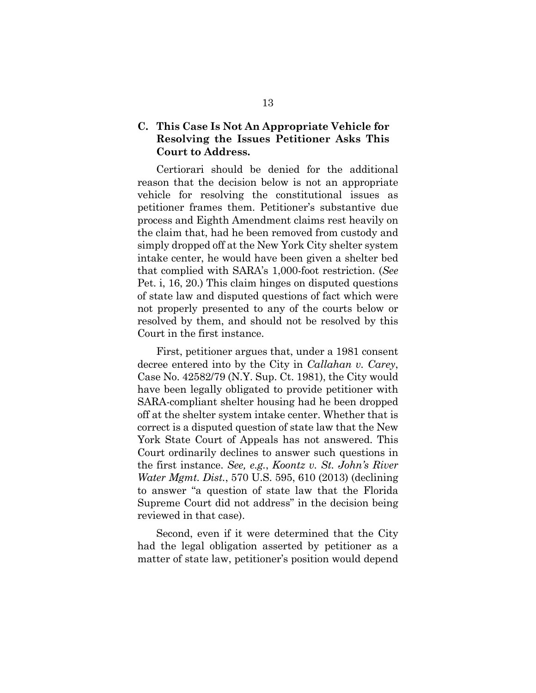## <span id="page-16-0"></span>**C. This Case Is Not An Appropriate Vehicle for Resolving the Issues Petitioner Asks This Court to Address.**

Certiorari should be denied for the additional reason that the decision below is not an appropriate vehicle for resolving the constitutional issues as petitioner frames them. Petitioner's substantive due process and Eighth Amendment claims rest heavily on the claim that, had he been removed from custody and simply dropped off at the New York City shelter system intake center, he would have been given a shelter bed that complied with SARA's 1,000-foot restriction. (*See* Pet. i, 16, 20.) This claim hinges on disputed questions of state law and disputed questions of fact which were not properly presented to any of the courts below or resolved by them, and should not be resolved by this Court in the first instance.

First, petitioner argues that, under a 1981 consent decree entered into by the City in *Callahan v. Carey*, Case No. 42582/79 (N.Y. Sup. Ct. 1981), the City would have been legally obligated to provide petitioner with SARA-compliant shelter housing had he been dropped off at the shelter system intake center. Whether that is correct is a disputed question of state law that the New York State Court of Appeals has not answered. This Court ordinarily declines to answer such questions in the first instance. *See, e.g.*, *Koontz v. St. John's River Water Mgmt. Dist.*, 570 U.S. 595, 610 (2013) (declining to answer "a question of state law that the Florida Supreme Court did not address" in the decision being reviewed in that case).

Second, even if it were determined that the City had the legal obligation asserted by petitioner as a matter of state law, petitioner's position would depend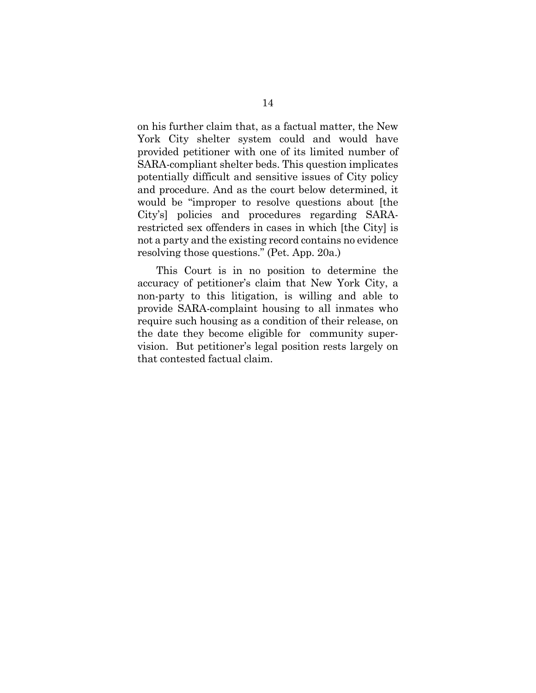on his further claim that, as a factual matter, the New York City shelter system could and would have provided petitioner with one of its limited number of SARA-compliant shelter beds. This question implicates potentially difficult and sensitive issues of City policy and procedure. And as the court below determined, it would be "improper to resolve questions about [the City's] policies and procedures regarding SARArestricted sex offenders in cases in which [the City] is not a party and the existing record contains no evidence resolving those questions." (Pet. App. 20a.)

This Court is in no position to determine the accuracy of petitioner's claim that New York City, a non-party to this litigation, is willing and able to provide SARA-complaint housing to all inmates who require such housing as a condition of their release, on the date they become eligible for community supervision. But petitioner's legal position rests largely on that contested factual claim.